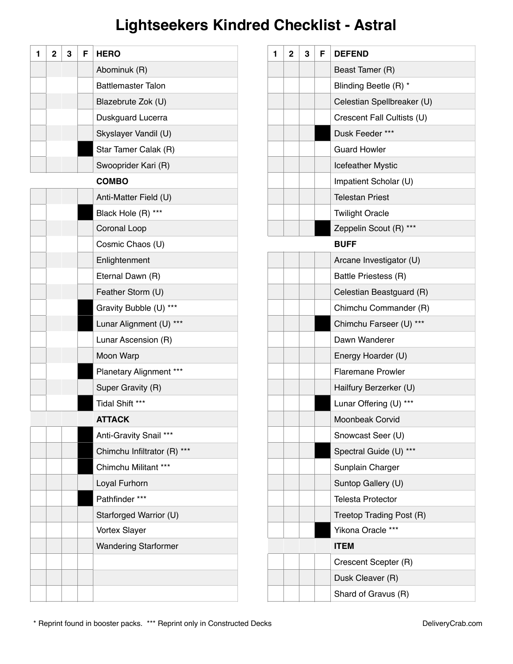# **Lightseekers Kindred Checklist - Astral**

| 1 | $\overline{2}$ | 3 | F | <b>HERO</b>                 |
|---|----------------|---|---|-----------------------------|
|   |                |   |   | Abominuk (R)                |
|   |                |   |   | <b>Battlemaster Talon</b>   |
|   |                |   |   | Blazebrute Zok (U)          |
|   |                |   |   | Duskguard Lucerra           |
|   |                |   |   | Skyslayer Vandil (U)        |
|   |                |   |   | Star Tamer Calak (R)        |
|   |                |   |   | Swooprider Kari (R)         |
|   |                |   |   | <b>COMBO</b>                |
|   |                |   |   | Anti-Matter Field (U)       |
|   |                |   |   | Black Hole (R) ***          |
|   |                |   |   | Coronal Loop                |
|   |                |   |   | Cosmic Chaos (U)            |
|   |                |   |   | Enlightenment               |
|   |                |   |   | Eternal Dawn (R)            |
|   |                |   |   | Feather Storm (U)           |
|   |                |   |   | Gravity Bubble (U) ***      |
|   |                |   |   | Lunar Alignment (U) ***     |
|   |                |   |   | Lunar Ascension (R)         |
|   |                |   |   | Moon Warp                   |
|   |                |   |   | Planetary Alignment ***     |
|   |                |   |   | Super Gravity (R)           |
|   |                |   |   | Tidal Shift ***             |
|   |                |   |   | ATTACK                      |
|   |                |   |   | Anti-Gravity Snail ***      |
|   |                |   |   | Chimchu Infiltrator (R) *** |
|   |                |   |   | Chimchu Militant ***        |
|   |                |   |   | Loyal Furhorn               |
|   |                |   |   | Pathfinder ***              |
|   |                |   |   | Starforged Warrior (U)      |
|   |                |   |   | <b>Vortex Slayer</b>        |
|   |                |   |   | <b>Wandering Starformer</b> |
|   |                |   |   |                             |
|   |                |   |   |                             |
|   |                |   |   |                             |

| 1 | $\mathbf{2}$ | 3 | F | <b>DEFEND</b>              |
|---|--------------|---|---|----------------------------|
|   |              |   |   | Beast Tamer (R)            |
|   |              |   |   | Blinding Beetle (R) *      |
|   |              |   |   | Celestian Spellbreaker (U) |
|   |              |   |   | Crescent Fall Cultists (U) |
|   |              |   |   | Dusk Feeder ***            |
|   |              |   |   | <b>Guard Howler</b>        |
|   |              |   |   | Icefeather Mystic          |
|   |              |   |   | Impatient Scholar (U)      |
|   |              |   |   | <b>Telestan Priest</b>     |
|   |              |   |   | <b>Twilight Oracle</b>     |
|   |              |   |   | Zeppelin Scout (R) ***     |
|   |              |   |   | <b>BUFF</b>                |
|   |              |   |   | Arcane Investigator (U)    |
|   |              |   |   | Battle Priestess (R)       |
|   |              |   |   | Celestian Beastguard (R)   |
|   |              |   |   | Chimchu Commander (R)      |
|   |              |   |   | Chimchu Farseer (U) ***    |
|   |              |   |   | Dawn Wanderer              |
|   |              |   |   | Energy Hoarder (U)         |
|   |              |   |   | <b>Flaremane Prowler</b>   |
|   |              |   |   | Hailfury Berzerker (U)     |
|   |              |   |   | Lunar Offering (U) ***     |
|   |              |   |   | Moonbeak Corvid            |
|   |              |   |   | Snowcast Seer (U)          |
|   |              |   |   | Spectral Guide (U) ***     |
|   |              |   |   | Sunplain Charger           |
|   |              |   |   | Suntop Gallery (U)         |
|   |              |   |   | <b>Telesta Protector</b>   |
|   |              |   |   | Treetop Trading Post (R)   |
|   |              |   |   | Yikona Oracle ***          |
|   |              |   |   | <b>ITEM</b>                |
|   |              |   |   | Crescent Scepter (R)       |
|   |              |   |   | Dusk Cleaver (R)           |
|   |              |   |   | Shard of Gravus (R)        |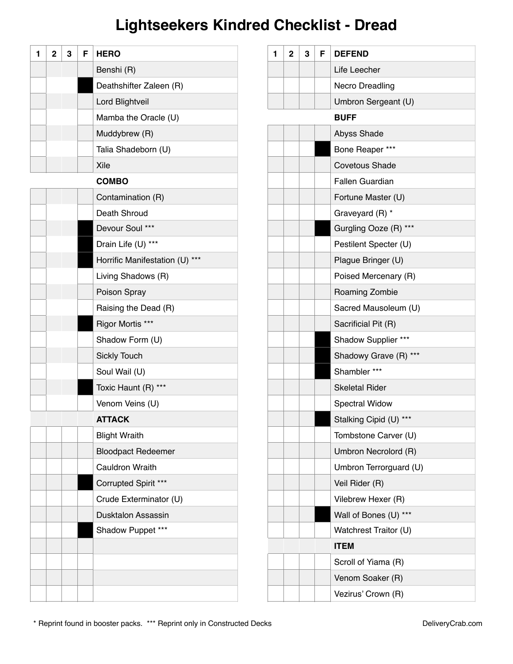# **Lightseekers Kindred Checklist - Dread**

| 1 | $\mathbf{2}$ | 3 | F | <b>HERO</b>                    |
|---|--------------|---|---|--------------------------------|
|   |              |   |   | Benshi (R)                     |
|   |              |   |   | Deathshifter Zaleen (R)        |
|   |              |   |   | Lord Blightveil                |
|   |              |   |   | Mamba the Oracle (U)           |
|   |              |   |   | Muddybrew (R)                  |
|   |              |   |   | Talia Shadeborn (U)            |
|   |              |   |   | Xile                           |
|   |              |   |   | <b>COMBO</b>                   |
|   |              |   |   | Contamination (R)              |
|   |              |   |   | Death Shroud                   |
|   |              |   |   | Devour Soul ***                |
|   |              |   |   | Drain Life (U) ***             |
|   |              |   |   | Horrific Manifestation (U) *** |
|   |              |   |   | Living Shadows (R)             |
|   |              |   |   | Poison Spray                   |
|   |              |   |   | Raising the Dead (R)           |
|   |              |   |   | Rigor Mortis ***               |
|   |              |   |   | Shadow Form (U)                |
|   |              |   |   | <b>Sickly Touch</b>            |
|   |              |   |   | Soul Wail (U)                  |
|   |              |   |   | Toxic Haunt (R) ***            |
|   |              |   |   | Venom Veins (U)                |
|   |              |   |   | ATTACK                         |
|   |              |   |   | <b>Blight Wraith</b>           |
|   |              |   |   | <b>Bloodpact Redeemer</b>      |
|   |              |   |   | <b>Cauldron Wraith</b>         |
|   |              |   |   | Corrupted Spirit ***           |
|   |              |   |   | Crude Exterminator (U)         |
|   |              |   |   | <b>Dusktalon Assassin</b>      |
|   |              |   |   | Shadow Puppet ***              |
|   |              |   |   |                                |
|   |              |   |   |                                |
|   |              |   |   |                                |
|   |              |   |   |                                |

| 1 | $\mathbf 2$ | 3 | F | <b>DEFEND</b>          |
|---|-------------|---|---|------------------------|
|   |             |   |   | Life Leecher           |
|   |             |   |   | <b>Necro Dreadling</b> |
|   |             |   |   | Umbron Sergeant (U)    |
|   |             |   |   | <b>BUFF</b>            |
|   |             |   |   | Abyss Shade            |
|   |             |   |   | Bone Reaper ***        |
|   |             |   |   | <b>Covetous Shade</b>  |
|   |             |   |   | <b>Fallen Guardian</b> |
|   |             |   |   | Fortune Master (U)     |
|   |             |   |   | Graveyard (R) *        |
|   |             |   |   | Gurgling Ooze (R) ***  |
|   |             |   |   | Pestilent Specter (U)  |
|   |             |   |   | Plague Bringer (U)     |
|   |             |   |   | Poised Mercenary (R)   |
|   |             |   |   | Roaming Zombie         |
|   |             |   |   | Sacred Mausoleum (U)   |
|   |             |   |   | Sacrificial Pit (R)    |
|   |             |   |   | Shadow Supplier ***    |
|   |             |   |   | Shadowy Grave (R) ***  |
|   |             |   |   | Shambler ***           |
|   |             |   |   | <b>Skeletal Rider</b>  |
|   |             |   |   | <b>Spectral Widow</b>  |
|   |             |   |   | Stalking Cipid (U) *** |
|   |             |   |   | Tombstone Carver (U)   |
|   |             |   |   | Umbron Necrolord (R)   |
|   |             |   |   | Umbron Terrorguard (U) |
|   |             |   |   | Veil Rider (R)         |
|   |             |   |   | Vilebrew Hexer (R)     |
|   |             |   |   | Wall of Bones (U) ***  |
|   |             |   |   | Watchrest Traitor (U)  |
|   |             |   |   | <b>ITEM</b>            |
|   |             |   |   | Scroll of Yiama (R)    |
|   |             |   |   | Venom Soaker (R)       |
|   |             |   |   | Vezirus' Crown (R)     |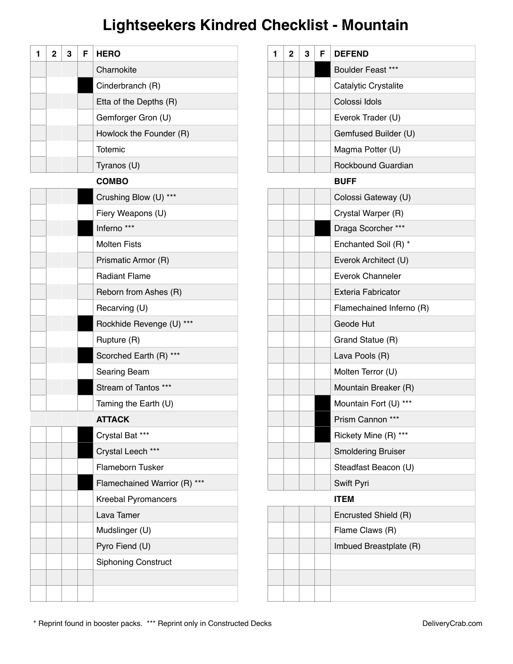# **Lightseekers Kindred Checklist - Mountain**

| 1 | $\mathbf{2}$ | 3 | F | <b>HERO</b>                  |
|---|--------------|---|---|------------------------------|
|   |              |   |   | Charnokite                   |
|   |              |   |   | Cinderbranch (R)             |
|   |              |   |   | Etta of the Depths (R)       |
|   |              |   |   | Gemforger Gron (U)           |
|   |              |   |   | Howlock the Founder (R)      |
|   |              |   |   | <b>Totemic</b>               |
|   |              |   |   | Tyranos (U)                  |
|   |              |   |   | <b>COMBO</b>                 |
|   |              |   |   | Crushing Blow (U) ***        |
|   |              |   |   | Fiery Weapons (U)            |
|   |              |   |   | Inferno ***                  |
|   |              |   |   | <b>Molten Fists</b>          |
|   |              |   |   | Prismatic Armor (R)          |
|   |              |   |   | <b>Radiant Flame</b>         |
|   |              |   |   | Reborn from Ashes (R)        |
|   |              |   |   | Recarving (U)                |
|   |              |   |   | Rockhide Revenge (U) ***     |
|   |              |   |   | Rupture (R)                  |
|   |              |   |   | Scorched Earth (R) ***       |
|   |              |   |   | Searing Beam                 |
|   |              |   |   | Stream of Tantos ***         |
|   |              |   |   | Taming the Earth (U)         |
|   |              |   |   | ATTACK                       |
|   |              |   |   | Crystal Bat ***              |
|   |              |   |   | Crystal Leech ***            |
|   |              |   |   | Flameborn Tusker             |
|   |              |   |   | Flamechained Warrior (R) *** |
|   |              |   |   | <b>Kreebal Pyromancers</b>   |
|   |              |   |   | Lava Tamer                   |
|   |              |   |   | Mudslinger (U)               |
|   |              |   |   | Pyro Fiend (U)               |
|   |              |   |   | <b>Siphoning Construct</b>   |
|   |              |   |   |                              |
|   |              |   |   |                              |

| 1 | $\overline{2}$ | 3 | F | <b>DEFEND</b>             |
|---|----------------|---|---|---------------------------|
|   |                |   |   | Boulder Feast ***         |
|   |                |   |   | Catalytic Crystalite      |
|   |                |   |   | Colossi Idols             |
|   |                |   |   | Everok Trader (U)         |
|   |                |   |   | Gemfused Builder (U)      |
|   |                |   |   | Magma Potter (U)          |
|   |                |   |   | Rockbound Guardian        |
|   |                |   |   | <b>BUFF</b>               |
|   |                |   |   | Colossi Gateway (U)       |
|   |                |   |   | Crystal Warper (R)        |
|   |                |   |   | Draga Scorcher ***        |
|   |                |   |   | Enchanted Soil (R) *      |
|   |                |   |   | Everok Architect (U)      |
|   |                |   |   | <b>Everok Channeler</b>   |
|   |                |   |   | <b>Exteria Fabricator</b> |
|   |                |   |   | Flamechained Inferno (R)  |
|   |                |   |   | Geode Hut                 |
|   |                |   |   | Grand Statue (R)          |
|   |                |   |   | Lava Pools (R)            |
|   |                |   |   | Molten Terror (U)         |
|   |                |   |   | Mountain Breaker (R)      |
|   |                |   |   | Mountain Fort (U) ***     |
|   |                |   |   | Prism Cannon ***          |
|   |                |   |   | Rickety Mine (R) ***      |
|   |                |   |   | <b>Smoldering Bruiser</b> |
|   |                |   |   | Steadfast Beacon (U)      |
|   |                |   |   | Swift Pyri                |
|   |                |   |   | <b>ITEM</b>               |
|   |                |   |   | Encrusted Shield (R)      |
|   |                |   |   | Flame Claws (R)           |
|   |                |   |   | Imbued Breastplate (R)    |
|   |                |   |   |                           |
|   |                |   |   |                           |
|   |                |   |   |                           |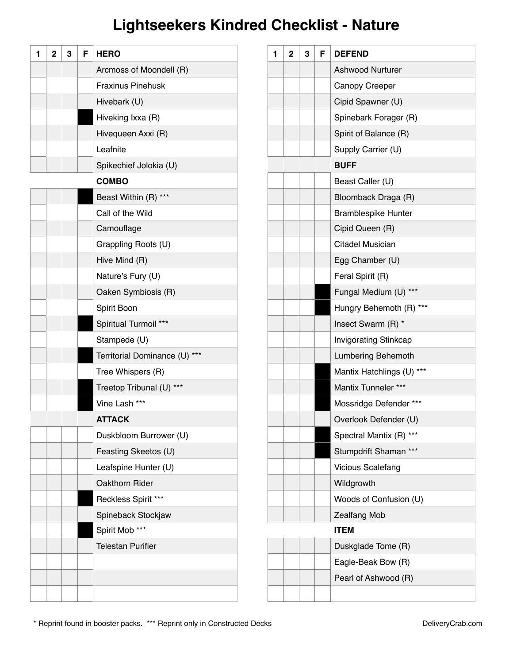# **Lightseekers Kindred Checklist - Nature**

| 1 | $\overline{2}$ | 3 | F. | <b>HERO</b>                   |
|---|----------------|---|----|-------------------------------|
|   |                |   |    | Arcmoss of Moondell (R)       |
|   |                |   |    | <b>Fraxinus Pinehusk</b>      |
|   |                |   |    | Hivebark (U)                  |
|   |                |   |    | Hiveking Ixxa (R)             |
|   |                |   |    | Hivequeen Axxi (R)            |
|   |                |   |    | Leafnite                      |
|   |                |   |    | Spikechief Jolokia (U)        |
|   |                |   |    | <b>COMBO</b>                  |
|   |                |   |    | Beast Within (R) ***          |
|   |                |   |    | Call of the Wild              |
|   |                |   |    | Camouflage                    |
|   |                |   |    | Grappling Roots (U)           |
|   |                |   |    | Hive Mind (R)                 |
|   |                |   |    | Nature's Fury (U)             |
|   |                |   |    | Oaken Symbiosis (R)           |
|   |                |   |    | Spirit Boon                   |
|   |                |   |    | Spiritual Turmoil ***         |
|   |                |   |    | Stampede (U)                  |
|   |                |   |    | Territorial Dominance (U) *** |
|   |                |   |    | Tree Whispers (R)             |
|   |                |   |    | Treetop Tribunal (U) ***      |
|   |                |   |    | Vine Lash ***                 |
|   |                |   |    | <b>ATTACK</b>                 |
|   |                |   |    | Duskbloom Burrower (U)        |
|   |                |   |    | Feasting Skeetos (U)          |
|   |                |   |    | Leafspine Hunter (U)          |
|   |                |   |    | Oakthorn Rider                |
|   |                |   |    | Reckless Spirit ***           |
|   |                |   |    | Spineback Stockjaw            |
|   |                |   |    | Spirit Mob ***                |
|   |                |   |    | <b>Telestan Purifier</b>      |
|   |                |   |    |                               |
|   |                |   |    |                               |
|   |                |   |    |                               |

| 1 | $\mathbf 2$ | 3 | F | <b>DEFEND</b>                |
|---|-------------|---|---|------------------------------|
|   |             |   |   | <b>Ashwood Nurturer</b>      |
|   |             |   |   | Canopy Creeper               |
|   |             |   |   | Cipid Spawner (U)            |
|   |             |   |   | Spinebark Forager (R)        |
|   |             |   |   | Spirit of Balance (R)        |
|   |             |   |   | Supply Carrier (U)           |
|   |             |   |   | <b>BUFF</b>                  |
|   |             |   |   | Beast Caller (U)             |
|   |             |   |   | Bloomback Draga (R)          |
|   |             |   |   | <b>Bramblespike Hunter</b>   |
|   |             |   |   | Cipid Queen (R)              |
|   |             |   |   | Citadel Musician             |
|   |             |   |   | Egg Chamber (U)              |
|   |             |   |   | Feral Spirit (R)             |
|   |             |   |   | Fungal Medium (U) ***        |
|   |             |   |   | Hungry Behemoth (R) ***      |
|   |             |   |   | Insect Swarm (R) *           |
|   |             |   |   | <b>Invigorating Stinkcap</b> |
|   |             |   |   | Lumbering Behemoth           |
|   |             |   |   | Mantix Hatchlings (U) ***    |
|   |             |   |   | Mantix Tunneler ***          |
|   |             |   |   | Mossridge Defender ***       |
|   |             |   |   | Overlook Defender (U)        |
|   |             |   |   | Spectral Mantix (R) ***      |
|   |             |   |   | Stumpdrift Shaman ***        |
|   |             |   |   | <b>Vicious Scalefang</b>     |
|   |             |   |   | Wildgrowth                   |
|   |             |   |   | Woods of Confusion (U)       |
|   |             |   |   | <b>Zealfang Mob</b>          |
|   |             |   |   | <b>ITEM</b>                  |
|   |             |   |   | Duskglade Tome (R)           |
|   |             |   |   | Eagle-Beak Bow (R)           |
|   |             |   |   | Pearl of Ashwood (R)         |
|   |             |   |   |                              |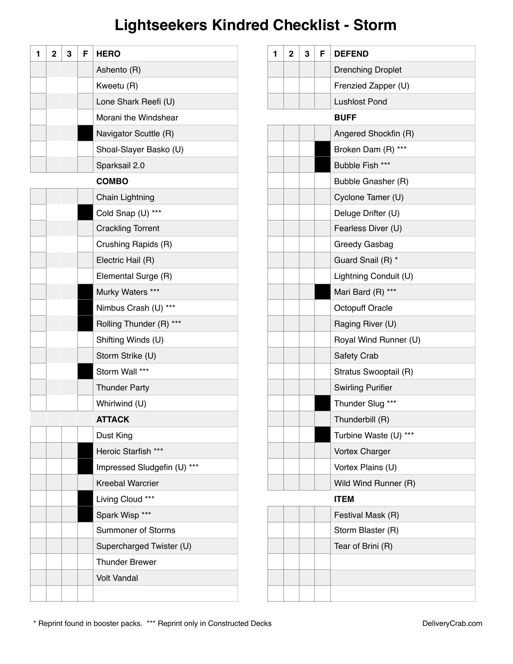# **Lightseekers Kindred Checklist - Storm**

| 1 | $\mathbf{2}$ | 3 | F | <b>HERO</b>                 |
|---|--------------|---|---|-----------------------------|
|   |              |   |   | Ashento (R)                 |
|   |              |   |   | Kweetu (R)                  |
|   |              |   |   | Lone Shark Reefi (U)        |
|   |              |   |   | Morani the Windshear        |
|   |              |   |   | Navigator Scuttle (R)       |
|   |              |   |   | Shoal-Slayer Basko (U)      |
|   |              |   |   | Sparksail 2.0               |
|   |              |   |   | <b>COMBO</b>                |
|   |              |   |   | <b>Chain Lightning</b>      |
|   |              |   |   | Cold Snap (U) ***           |
|   |              |   |   | <b>Crackling Torrent</b>    |
|   |              |   |   | Crushing Rapids (R)         |
|   |              |   |   | Electric Hail (R)           |
|   |              |   |   | Elemental Surge (R)         |
|   |              |   |   | Murky Waters ***            |
|   |              |   |   | Nimbus Crash (U) ***        |
|   |              |   |   | Rolling Thunder (R) ***     |
|   |              |   |   | Shifting Winds (U)          |
|   |              |   |   | Storm Strike (U)            |
|   |              |   |   | Storm Wall ***              |
|   |              |   |   | <b>Thunder Party</b>        |
|   |              |   |   | Whirlwind (U)               |
|   |              |   |   | ATTACK                      |
|   |              |   |   | Dust King                   |
|   |              |   |   | Heroic Starfish ***         |
|   |              |   |   | Impressed Sludgefin (U) *** |
|   |              |   |   | <b>Kreebal Warcrier</b>     |
|   |              |   |   | Living Cloud ***            |
|   |              |   |   | Spark Wisp ***              |
|   |              |   |   | Summoner of Storms          |
|   |              |   |   | Supercharged Twister (U)    |
|   |              |   |   | <b>Thunder Brewer</b>       |
|   |              |   |   | <b>Volt Vandal</b>          |
|   |              |   |   |                             |

| 1 | $\mathbf{2}$ | 3 | F | <b>DEFEND</b>            |
|---|--------------|---|---|--------------------------|
|   |              |   |   | <b>Drenching Droplet</b> |
|   |              |   |   | Frenzied Zapper (U)      |
|   |              |   |   | <b>Lushlost Pond</b>     |
|   |              |   |   | <b>BUFF</b>              |
|   |              |   |   | Angered Shockfin (R)     |
|   |              |   |   | Broken Dam (R) ***       |
|   |              |   |   | Bubble Fish ***          |
|   |              |   |   | Bubble Gnasher (R)       |
|   |              |   |   | Cyclone Tamer (U)        |
|   |              |   |   | Deluge Drifter (U)       |
|   |              |   |   | Fearless Diver (U)       |
|   |              |   |   | Greedy Gasbag            |
|   |              |   |   | Guard Snail (R) *        |
|   |              |   |   | Lightning Conduit (U)    |
|   |              |   |   | Mari Bard (R) ***        |
|   |              |   |   | Octopuff Oracle          |
|   |              |   |   | Raging River (U)         |
|   |              |   |   | Royal Wind Runner (U)    |
|   |              |   |   | <b>Safety Crab</b>       |
|   |              |   |   | Stratus Swooptail (R)    |
|   |              |   |   | <b>Swirling Purifier</b> |
|   |              |   |   | Thunder Slug ***         |
|   |              |   |   | Thunderbill (R)          |
|   |              |   |   | Turbine Waste (U) ***    |
|   |              |   |   | <b>Vortex Charger</b>    |
|   |              |   |   | Vortex Plains (U)        |
|   |              |   |   | Wild Wind Runner (R)     |
|   |              |   |   | <b>ITEM</b>              |
|   |              |   |   | Festival Mask (R)        |
|   |              |   |   | Storm Blaster (R)        |
|   |              |   |   | Tear of Brini (R)        |
|   |              |   |   |                          |
|   |              |   |   |                          |
|   |              |   |   |                          |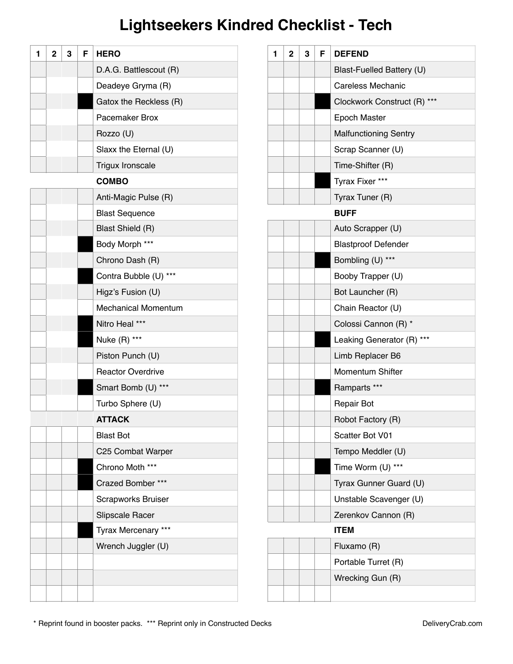# **Lightseekers Kindred Checklist - Tech**

| 1 | $\overline{2}$ | 3 | F | <b>HERO</b>                |
|---|----------------|---|---|----------------------------|
|   |                |   |   | D.A.G. Battlescout (R)     |
|   |                |   |   | Deadeye Gryma (R)          |
|   |                |   |   | Gatox the Reckless (R)     |
|   |                |   |   | Pacemaker Brox             |
|   |                |   |   | Rozzo (U)                  |
|   |                |   |   | Slaxx the Eternal (U)      |
|   |                |   |   | <b>Trigux Ironscale</b>    |
|   |                |   |   | <b>COMBO</b>               |
|   |                |   |   | Anti-Magic Pulse (R)       |
|   |                |   |   | <b>Blast Sequence</b>      |
|   |                |   |   | Blast Shield (R)           |
|   |                |   |   | Body Morph ***             |
|   |                |   |   | Chrono Dash (R)            |
|   |                |   |   | Contra Bubble (U) ***      |
|   |                |   |   | Higz's Fusion (U)          |
|   |                |   |   | <b>Mechanical Momentum</b> |
|   |                |   |   | Nitro Heal ***             |
|   |                |   |   | Nuke $(R)$ ***             |
|   |                |   |   | Piston Punch (U)           |
|   |                |   |   | <b>Reactor Overdrive</b>   |
|   |                |   |   | Smart Bomb (U) ***         |
|   |                |   |   | Turbo Sphere (U)           |
|   |                |   |   | <b>ATTACK</b>              |
|   |                |   |   | <b>Blast Bot</b>           |
|   |                |   |   | C25 Combat Warper          |
|   |                |   |   | Chrono Moth ***            |
|   |                |   |   | Crazed Bomber ***          |
|   |                |   |   | <b>Scrapworks Bruiser</b>  |
|   |                |   |   | <b>Slipscale Racer</b>     |
|   |                |   |   | Tyrax Mercenary ***        |
|   |                |   |   | Wrench Juggler (U)         |
|   |                |   |   |                            |
|   |                |   |   |                            |
|   |                |   |   |                            |

| 1 | $\overline{2}$ | 3 | F | <b>DEFEND</b>                |
|---|----------------|---|---|------------------------------|
|   |                |   |   | Blast-Fuelled Battery (U)    |
|   |                |   |   | <b>Careless Mechanic</b>     |
|   |                |   |   | Clockwork Construct (R) ***  |
|   |                |   |   | <b>Epoch Master</b>          |
|   |                |   |   | <b>Malfunctioning Sentry</b> |
|   |                |   |   | Scrap Scanner (U)            |
|   |                |   |   | Time-Shifter (R)             |
|   |                |   |   | Tyrax Fixer ***              |
|   |                |   |   | Tyrax Tuner (R)              |
|   |                |   |   | <b>BUFF</b>                  |
|   |                |   |   | Auto Scrapper (U)            |
|   |                |   |   | <b>Blastproof Defender</b>   |
|   |                |   |   | Bombling (U) ***             |
|   |                |   |   | Booby Trapper (U)            |
|   |                |   |   | Bot Launcher (R)             |
|   |                |   |   | Chain Reactor (U)            |
|   |                |   |   | Colossi Cannon (R) *         |
|   |                |   |   | Leaking Generator (R) ***    |
|   |                |   |   | Limb Replacer B6             |
|   |                |   |   | <b>Momentum Shifter</b>      |
|   |                |   |   | Ramparts ***                 |
|   |                |   |   | <b>Repair Bot</b>            |
|   |                |   |   | Robot Factory (R)            |
|   |                |   |   | Scatter Bot V01              |
|   |                |   |   | Tempo Meddler (U)            |
|   |                |   |   | Time Worm (U) ***            |
|   |                |   |   | Tyrax Gunner Guard (U)       |
|   |                |   |   | Unstable Scavenger (U)       |
|   |                |   |   | Zerenkov Cannon (R)          |
|   |                |   |   | <b>ITEM</b>                  |
|   |                |   |   | Fluxamo (R)                  |
|   |                |   |   | Portable Turret (R)          |
|   |                |   |   | Wrecking Gun (R)             |
|   |                |   |   |                              |